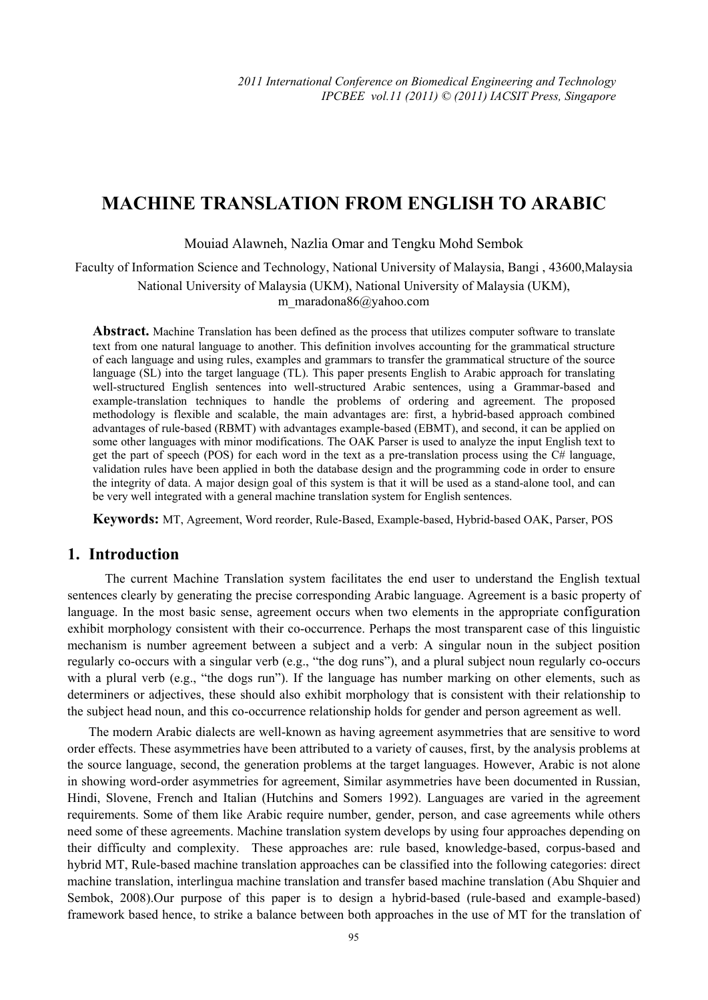# **MACHINE TRANSLATION FROM ENGLISH TO ARABIC**

Mouiad Alawneh, Nazlia Omar and Tengku Mohd Sembok

Faculty of Information Science and Technology, National University of Malaysia, Bangi , 43600,Malaysia National University of Malaysia (UKM), National University of Malaysia (UKM), m\_maradona86@yahoo.com

**Abstract.** Machine Translation has been defined as the process that utilizes computer software to translate text from one natural language to another. This definition involves accounting for the grammatical structure of each language and using rules, examples and grammars to transfer the grammatical structure of the source language (SL) into the target language (TL). This paper presents English to Arabic approach for translating well-structured English sentences into well-structured Arabic sentences, using a Grammar-based and example-translation techniques to handle the problems of ordering and agreement. The proposed methodology is flexible and scalable, the main advantages are: first, a hybrid-based approach combined advantages of rule-based (RBMT) with advantages example-based (EBMT), and second, it can be applied on some other languages with minor modifications. The OAK Parser is used to analyze the input English text to get the part of speech (POS) for each word in the text as a pre-translation process using the C# language, validation rules have been applied in both the database design and the programming code in order to ensure the integrity of data. A major design goal of this system is that it will be used as a stand-alone tool, and can be very well integrated with a general machine translation system for English sentences.

**Keywords:** MT, Agreement, Word reorder, Rule-Based, Example-based, Hybrid-based OAK, Parser, POS

# **1. Introduction**

 The current Machine Translation system facilitates the end user to understand the English textual sentences clearly by generating the precise corresponding Arabic language. Agreement is a basic property of language. In the most basic sense, agreement occurs when two elements in the appropriate configuration exhibit morphology consistent with their co-occurrence. Perhaps the most transparent case of this linguistic mechanism is number agreement between a subject and a verb: A singular noun in the subject position regularly co-occurs with a singular verb (e.g., "the dog runs"), and a plural subject noun regularly co-occurs with a plural verb (e.g., "the dogs run"). If the language has number marking on other elements, such as determiners or adjectives, these should also exhibit morphology that is consistent with their relationship to the subject head noun, and this co-occurrence relationship holds for gender and person agreement as well.

The modern Arabic dialects are well-known as having agreement asymmetries that are sensitive to word order effects. These asymmetries have been attributed to a variety of causes, first, by the analysis problems at the source language, second, the generation problems at the target languages. However, Arabic is not alone in showing word-order asymmetries for agreement, Similar asymmetries have been documented in Russian, Hindi, Slovene, French and Italian (Hutchins and Somers 1992). Languages are varied in the agreement requirements. Some of them like Arabic require number, gender, person, and case agreements while others need some of these agreements. Machine translation system develops by using four approaches depending on their difficulty and complexity. These approaches are: rule based, knowledge-based, corpus-based and hybrid MT, Rule-based machine translation approaches can be classified into the following categories: direct machine translation, interlingua machine translation and transfer based machine translation (Abu Shquier and Sembok, 2008).Our purpose of this paper is to design a hybrid-based (rule-based and example-based) framework based hence, to strike a balance between both approaches in the use of MT for the translation of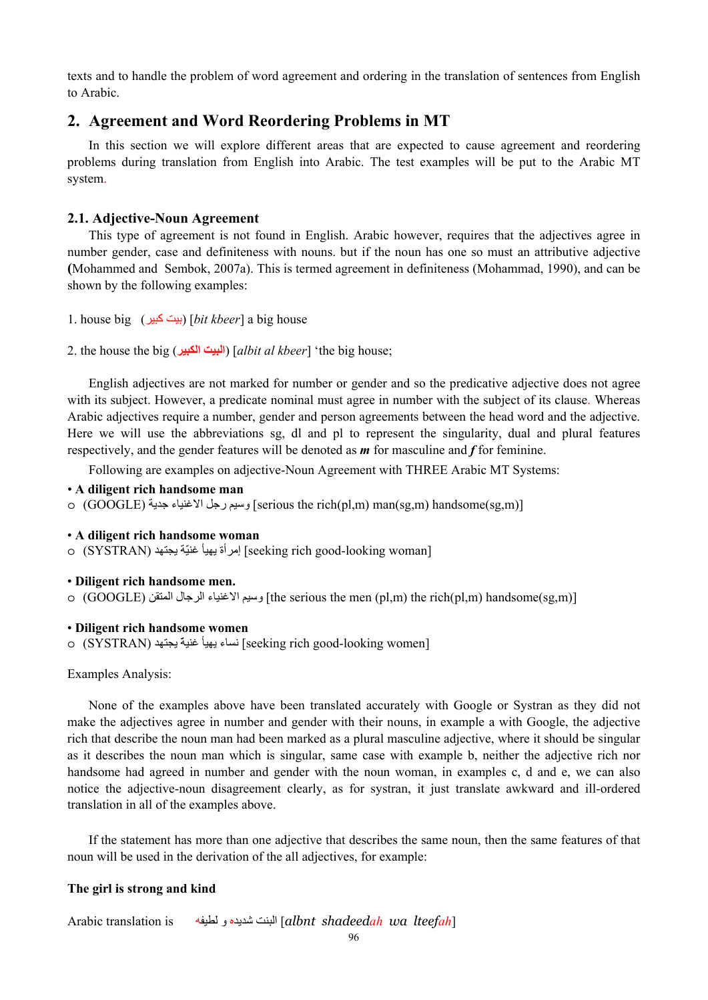texts and to handle the problem of word agreement and ordering in the translation of sentences from English to Arabic.

# **2. Agreement and Word Reordering Problems in MT**

In this section we will explore different areas that are expected to cause agreement and reordering problems during translation from English into Arabic. The test examples will be put to the Arabic MT system.

### **2.1. Adjective-Noun Agreement**

This type of agreement is not found in English. Arabic however, requires that the adjectives agree in number gender, case and definiteness with nouns. but if the noun has one so must an attributive adjective **(**Mohammed and Sembok, 2007a). This is termed agreement in definiteness (Mohammad, 1990), and can be shown by the following examples:

- 1. house big (آبير بيت] (*bit kbeer*] a big house
- 2. the house the big (**الكبير البيت**] (*albit al kbeer*] 'the big house;

English adjectives are not marked for number or gender and so the predicative adjective does not agree with its subject. However, a predicate nominal must agree in number with the subject of its clause. Whereas Arabic adjectives require a number, gender and person agreements between the head word and the adjective. Here we will use the abbreviations sg, dl and pl to represent the singularity, dual and plural features respectively, and the gender features will be denoted as *m* for masculine and *f* for feminine.

Following are examples on adjective-Noun Agreement with THREE Arabic MT Systems:

- **A diligent rich handsome man**
- o (GOOGLE) جدیة الاغنياء رجل وسيم] serious the rich(pl,m) man(sg,m) handsome(sg,m)]
- **A diligent rich handsome woman**

o (SYSTRAN) إمرأة يهيأ غنيّة يجتهد [Seeking rich good-looking woman]

### • **Diligent rich handsome men.**

o (GOOGLE) المتقن الرجال الاغنياء وسيم] the serious the men (pl,m) the rich(pl,m) handsome(sg,m)]

### • **Diligent rich handsome women**

o (SYSTRAN) یجتهد ّغنية یهيأ نساء] seeking rich good-looking women]

#### Examples Analysis:

None of the examples above have been translated accurately with Google or Systran as they did not make the adjectives agree in number and gender with their nouns, in example a with Google, the adjective rich that describe the noun man had been marked as a plural masculine adjective, where it should be singular as it describes the noun man which is singular, same case with example b, neither the adjective rich nor handsome had agreed in number and gender with the noun woman, in examples c, d and e, we can also notice the adjective-noun disagreement clearly, as for systran, it just translate awkward and ill-ordered translation in all of the examples above.

If the statement has more than one adjective that describes the same noun, then the same features of that noun will be used in the derivation of the all adjectives, for example:

#### **The girl is strong and kind**

Arabic translation is لطيفه و شدیده البنت] *albnt shadeedah wa lteefah*]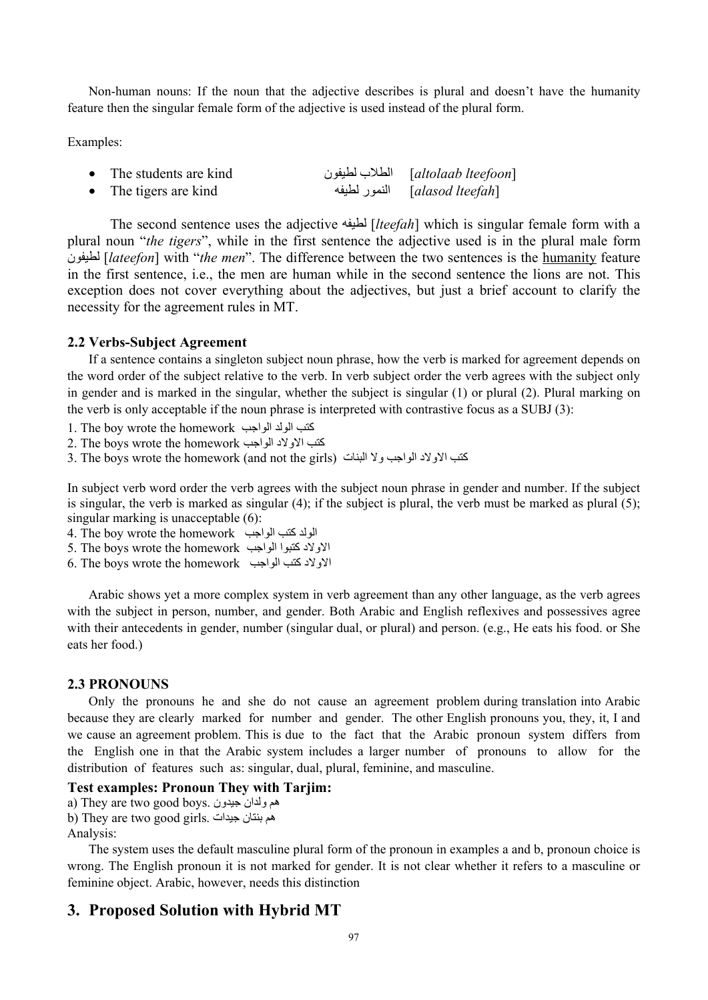Non-human nouns: If the noun that the adjective describes is plural and doesn't have the humanity feature then the singular female form of the adjective is used instead of the plural form.

Examples:

| The students are kind | الطلاب لطيفون <i>[altolaab lteefoon</i> ] |
|-----------------------|-------------------------------------------|
| The tigers are kind   | [alasod lteefah]     النمور لطيفه         |

 The second sentence uses the adjective لطيفه] *lteefah*] which is singular female form with a plural noun "*the tigers*", while in the first sentence the adjective used is in the plural male form لطيفون] *lateefon*] with "*the men*". The difference between the two sentences is the humanity feature in the first sentence, i.e., the men are human while in the second sentence the lions are not. This exception does not cover everything about the adjectives, but just a brief account to clarify the necessity for the agreement rules in MT.

### **2.2 Verbs-Subject Agreement**

If a sentence contains a singleton subject noun phrase, how the verb is marked for agreement depends on the word order of the subject relative to the verb. In verb subject order the verb agrees with the subject only in gender and is marked in the singular, whether the subject is singular (1) or plural (2). Plural marking on the verb is only acceptable if the noun phrase is interpreted with contrastive focus as a SUBJ (3):

- 1. The boy wrote the homework الواجب الولد آتب
- 2. The boys wrote the homework الواجب الاولاد آتب
- 3. The boys wrote the homework (and not the girls) كتب الاولاد الواجب ولا البنات

In subject verb word order the verb agrees with the subject noun phrase in gender and number. If the subject is singular, the verb is marked as singular (4); if the subject is plural, the verb must be marked as plural (5); singular marking is unacceptable (6):

4. The boy wrote the homework الواد كتب الواجب

- 5. The boys wrote the homework الواجب آتبوا الاولاد
- 6. The boys wrote the homework  $\leq 6$ الاولاد كتب الواجب

Arabic shows yet a more complex system in verb agreement than any other language, as the verb agrees with the subject in person, number, and gender. Both Arabic and English reflexives and possessives agree with their antecedents in gender, number (singular dual, or plural) and person. (e.g., He eats his food. or She eats her food.)

### **2.3 PRONOUNS**

Only the pronouns he and she do not cause an agreement problem during translation into Arabic because they are clearly marked for number and gender. The other English pronouns you, they, it, I and we cause an agreement problem. This is due to the fact that the Arabic pronoun system differs from the English one in that the Arabic system includes a larger number of pronouns to allow for the distribution of features such as: singular, dual, plural, feminine, and masculine.

# **Test examples: Pronoun They with Tarjim:**

a) They are two good boys. جيدون ولدان هم b) They are two good girls. جيدات بنتان هم

Analysis:

The system uses the default masculine plural form of the pronoun in examples a and b, pronoun choice is wrong. The English pronoun it is not marked for gender. It is not clear whether it refers to a masculine or feminine object. Arabic, however, needs this distinction

# **3. Proposed Solution with Hybrid MT**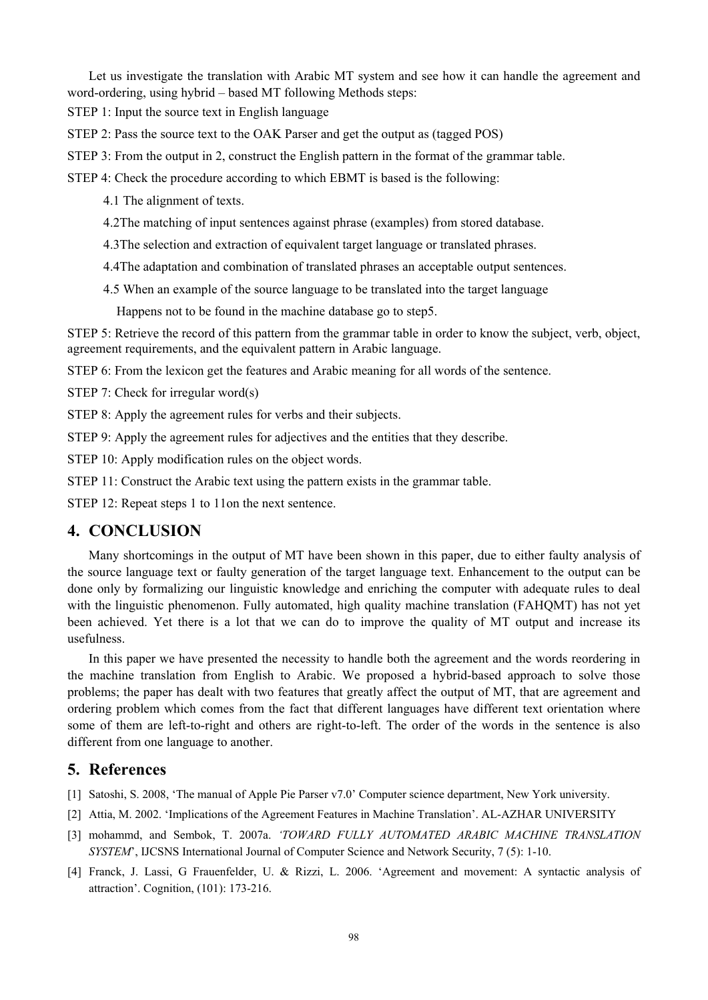Let us investigate the translation with Arabic MT system and see how it can handle the agreement and word-ordering, using hybrid – based MT following Methods steps:

STEP 1: Input the source text in English language

STEP 2: Pass the source text to the OAK Parser and get the output as (tagged POS)

STEP 3: From the output in 2, construct the English pattern in the format of the grammar table.

STEP 4: Check the procedure according to which EBMT is based is the following:

4.1 The alignment of texts.

4.2The matching of input sentences against phrase (examples) from stored database.

4.3The selection and extraction of equivalent target language or translated phrases.

4.4The adaptation and combination of translated phrases an acceptable output sentences.

4.5 When an example of the source language to be translated into the target language

Happens not to be found in the machine database go to step5.

STEP 5: Retrieve the record of this pattern from the grammar table in order to know the subject, verb, object, agreement requirements, and the equivalent pattern in Arabic language.

STEP 6: From the lexicon get the features and Arabic meaning for all words of the sentence.

STEP 7: Check for irregular word(s)

STEP 8: Apply the agreement rules for verbs and their subjects.

STEP 9: Apply the agreement rules for adjectives and the entities that they describe.

STEP 10: Apply modification rules on the object words.

STEP 11: Construct the Arabic text using the pattern exists in the grammar table.

STEP 12: Repeat steps 1 to 11on the next sentence.

# **4. CONCLUSION**

Many shortcomings in the output of MT have been shown in this paper, due to either faulty analysis of the source language text or faulty generation of the target language text. Enhancement to the output can be done only by formalizing our linguistic knowledge and enriching the computer with adequate rules to deal with the linguistic phenomenon. Fully automated, high quality machine translation (FAHQMT) has not yet been achieved. Yet there is a lot that we can do to improve the quality of MT output and increase its usefulness.

In this paper we have presented the necessity to handle both the agreement and the words reordering in the machine translation from English to Arabic. We proposed a hybrid-based approach to solve those problems; the paper has dealt with two features that greatly affect the output of MT, that are agreement and ordering problem which comes from the fact that different languages have different text orientation where some of them are left-to-right and others are right-to-left. The order of the words in the sentence is also different from one language to another.

# **5. References**

[1] Satoshi, S. 2008, 'The manual of Apple Pie Parser v7.0' Computer science department, New York university.

- [2] Attia, M. 2002. 'Implications of the Agreement Features in Machine Translation'. AL-AZHAR UNIVERSITY
- [3] mohammd, and Sembok, T. 2007a. *'TOWARD FULLY AUTOMATED ARABIC MACHINE TRANSLATION SYSTEM*', IJCSNS International Journal of Computer Science and Network Security, 7 (5): 1-10.
- [4] Franck, J. Lassi, G Frauenfelder, U. & Rizzi, L. 2006. 'Agreement and movement: A syntactic analysis of attraction'. Cognition, (101): 173-216.